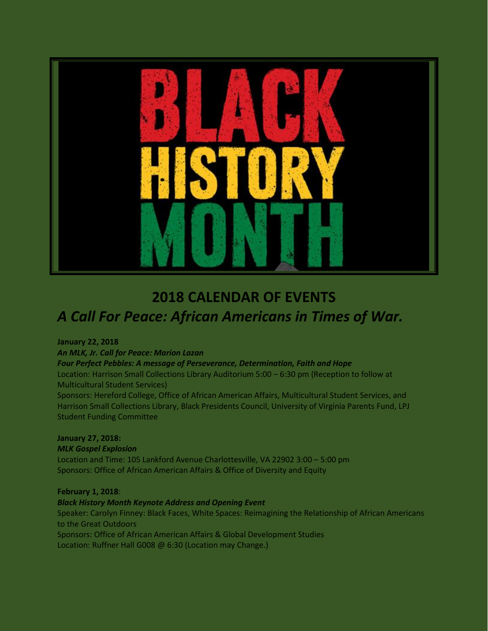

# **2018 CALENDAR OF EVENTS** *A Call For Peace: African Americans in Times of War.*

#### **January 22, 2018**

*An MLK, Jr. Call for Peace: Marion Lazan*

#### *Four Perfect Pebbles: A message of Perseverance, Determination, Faith and Hope*

Location: Harrison Small Collections Library Auditorium 5:00 – 6:30 pm (Reception to follow at Multicultural Student Services)

Sponsors: Hereford College, Office of African American Affairs, Multicultural Student Services, and Harrison Small Collections Library, Black Presidents Council, University of Virginia Parents Fund, LPJ Student Funding Committee

## **January 27, 2018:**

#### *MLK Gospel Explosion*

Location and Time: 105 Lankford Avenue Charlottesville, VA 22902 3:00 – 5:00 pm Sponsors: Office of African American Affairs & Office of Diversity and Equity

## **February 1, 2018**:

## *Black History Month Keynote Address and Opening Event*

Speaker: Carolyn Finney: Black Faces, White Spaces: Reimagining the Relationship of African Americans to the Great Outdoors Sponsors: Office of African American Affairs & Global Development Studies

Location: Ruffner Hall G008 @ 6:30 (Location may Change.)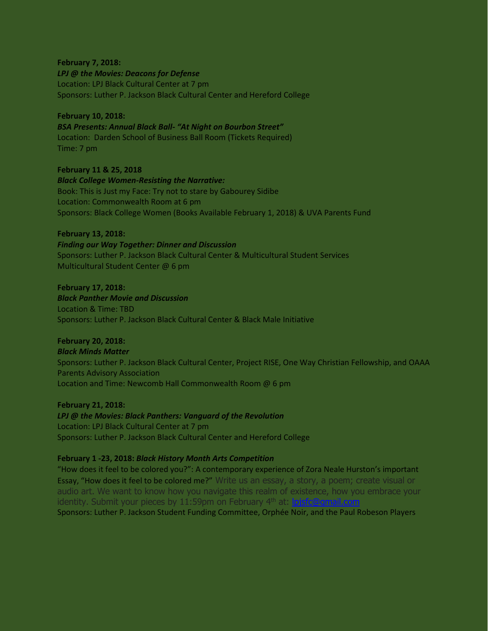**February 7, 2018:** *LPJ @ the Movies: Deacons for Defense* Location: LPJ Black Cultural Center at 7 pm Sponsors: Luther P. Jackson Black Cultural Center and Hereford College

#### **February 10, 2018:**

*BSA Presents: Annual Black Ball- "At Night on Bourbon Street"* Location: Darden School of Business Ball Room (Tickets Required) Time: 7 pm

**February 11 & 25, 2018** *Black College Women-Resisting the Narrative:* Book: This is Just my Face: Try not to stare by Gabourey Sidibe Location: Commonwealth Room at 6 pm Sponsors: Black College Women (Books Available February 1, 2018) & UVA Parents Fund

#### **February 13, 2018:**

*Finding our Way Together: Dinner and Discussion* Sponsors: Luther P. Jackson Black Cultural Center & Multicultural Student Services Multicultural Student Center @ 6 pm

**February 17, 2018:** *Black Panther Movie and Discussion* Location & Time: TBD Sponsors: Luther P. Jackson Black Cultural Center & Black Male Initiative

#### **February 20, 2018:**

*Black Minds Matter* Sponsors: Luther P. Jackson Black Cultural Center, Project RISE, One Way Christian Fellowship, and OAAA Parents Advisory Association Location and Time: Newcomb Hall Commonwealth Room @ 6 pm

**February 21, 2018:** *LPJ @ the Movies: Black Panthers: Vanguard of the Revolution* Location: LPJ Black Cultural Center at 7 pm Sponsors: Luther P. Jackson Black Cultural Center and Hereford College

#### **February 1 -23, 2018:** *Black History Month Arts Competition*

"How does it feel to be colored you?": A contemporary experience of Zora Neale Hurston's important Essay, "How does it feel to be colored me?" Write us an essay, a story, a poem; create visual or audio art. We want to know how you navigate this realm of existence, how you embrace your identity. Submit your pieces by 11:59pm on February  $4<sup>th</sup>$  at: I Sponsors: Luther P. Jackson Student Funding Committee, Orphée Noir, and the Paul Robeson Players